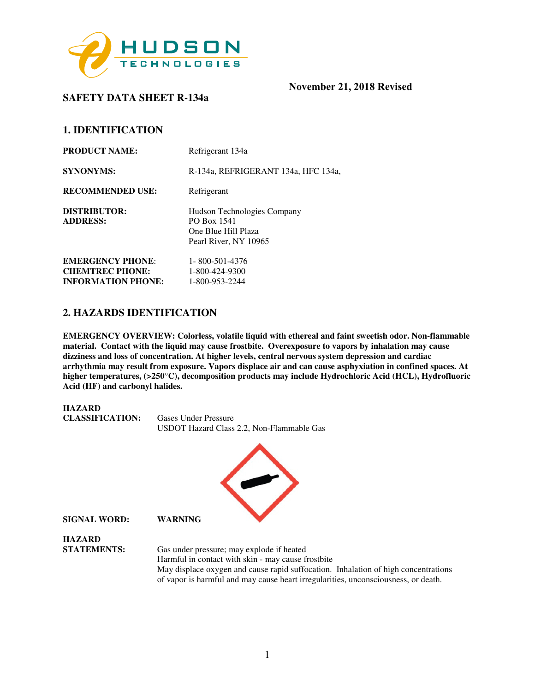

## **SAFETY DATA SHEET R-134a**

## **November 21, 2018 Revised**

## **1. IDENTIFICATION**

| <b>PRODUCT NAME:</b>                              | Refrigerant 134a                                                                                  |
|---------------------------------------------------|---------------------------------------------------------------------------------------------------|
| <b>SYNONYMS:</b>                                  | R-134a, REFRIGERANT 134a, HFC 134a,                                                               |
| <b>RECOMMENDED USE:</b>                           | Refrigerant                                                                                       |
| <b>DISTRIBUTOR:</b><br><b>ADDRESS:</b>            | <b>Hudson Technologies Company</b><br>PO Box 1541<br>One Blue Hill Plaza<br>Pearl River, NY 10965 |
| <b>EMERGENCY PHONE:</b><br><b>CHEMTREC PHONE:</b> | 1-800-501-4376<br>1-800-424-9300                                                                  |
| <b>INFORMATION PHONE:</b>                         | 1-800-953-2244                                                                                    |

## **2. HAZARDS IDENTIFICATION**

**EMERGENCY OVERVIEW: Colorless, volatile liquid with ethereal and faint sweetish odor. Non-flammable material. Contact with the liquid may cause frostbite. Overexposure to vapors by inhalation may cause dizziness and loss of concentration. At higher levels, central nervous system depression and cardiac arrhythmia may result from exposure. Vapors displace air and can cause asphyxiation in confined spaces. At higher temperatures, (>250**°**C), decomposition products may include Hydrochloric Acid (HCL), Hydrofluoric Acid (HF) and carbonyl halides.** 



of vapor is harmful and may cause heart irregularities, unconsciousness, or death.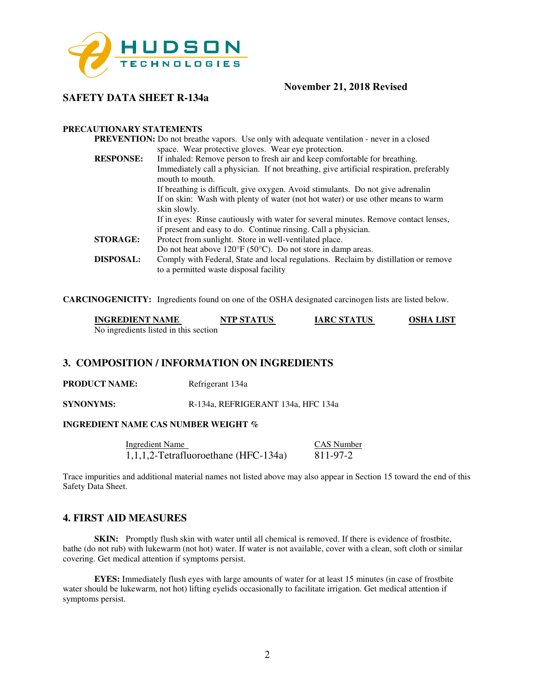

## **SAFETY DATA SHEET R-134a**

#### **PRECAUTIONARY STATEMENTS**

|                  | <b>PREVENTION:</b> Do not breathe vapors. Use only with adequate ventilation - never in a closed           |  |  |
|------------------|------------------------------------------------------------------------------------------------------------|--|--|
|                  | space. Wear protective gloves. Wear eye protection.                                                        |  |  |
| <b>RESPONSE:</b> | If inhaled: Remove person to fresh air and keep comfortable for breathing.                                 |  |  |
|                  | Immediately call a physician. If not breathing, give artificial respiration, preferably<br>mouth to mouth. |  |  |
|                  | If breathing is difficult, give oxygen. Avoid stimulants. Do not give adrenalin                            |  |  |
|                  | If on skin: Wash with plenty of water (not hot water) or use other means to warm                           |  |  |
|                  | skin slowly.                                                                                               |  |  |
|                  | If in eyes: Rinse cautiously with water for several minutes. Remove contact lenses,                        |  |  |
|                  | if present and easy to do. Continue rinsing. Call a physician.                                             |  |  |
| <b>STORAGE:</b>  | Protect from sunlight. Store in well-ventilated place.                                                     |  |  |
|                  | Do not heat above $120^{\circ}F(50^{\circ}C)$ . Do not store in damp areas.                                |  |  |
| DISPOSAL:        | Comply with Federal, State and local regulations. Reclaim by distillation or remove                        |  |  |
|                  | to a permitted waste disposal facility                                                                     |  |  |
|                  |                                                                                                            |  |  |

**CARCINOGENICITY:** Ingredients found on one of the OSHA designated carcinogen lists are listed below.

| <b>INGREDIENT NAME</b>                | NTP STATUS | <b>IARC STATUS</b> | <b>OSHA LIST</b> |
|---------------------------------------|------------|--------------------|------------------|
| No ingredients listed in this section |            |                    |                  |

#### **3. COMPOSITION / INFORMATION ON INGREDIENTS**

**PRODUCT NAME:** Refrigerant 134a

**SYNONYMS:** R-134a, REFRIGERANT 134a, HFC 134a

#### **INGREDIENT NAME CAS NUMBER WEIGHT %**

Ingredient Name CAS Number 1,1,1,2-Tetrafluoroethane (HFC-134a) 811-97-2

Trace impurities and additional material names not listed above may also appear in Section 15 toward the end of this Safety Data Sheet.

## **4. FIRST AID MEASURES**

**SKIN:** Promptly flush skin with water until all chemical is removed. If there is evidence of frostbite, bathe (do not rub) with lukewarm (not hot) water. If water is not available, cover with a clean, soft cloth or similar covering. Get medical attention if symptoms persist.

**EYES:** Immediately flush eyes with large amounts of water for at least 15 minutes (in case of frostbite water should be lukewarm, not hot) lifting eyelids occasionally to facilitate irrigation. Get medical attention if symptoms persist.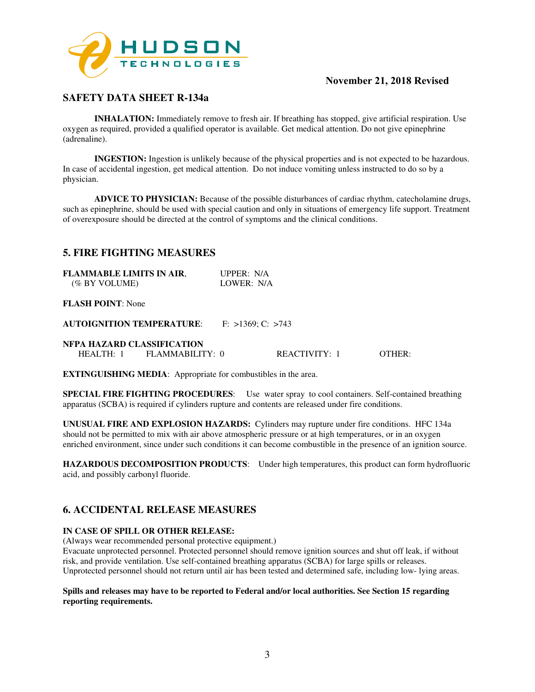

## **SAFETY DATA SHEET R-134a**

**INHALATION:** Immediately remove to fresh air. If breathing has stopped, give artificial respiration. Use oxygen as required, provided a qualified operator is available. Get medical attention. Do not give epinephrine (adrenaline).

**INGESTION:** Ingestion is unlikely because of the physical properties and is not expected to be hazardous. In case of accidental ingestion, get medical attention. Do not induce vomiting unless instructed to do so by a physician.

**ADVICE TO PHYSICIAN:** Because of the possible disturbances of cardiac rhythm, catecholamine drugs, such as epinephrine, should be used with special caution and only in situations of emergency life support. Treatment of overexposure should be directed at the control of symptoms and the clinical conditions.

## **5. FIRE FIGHTING MEASURES**

| <b>FLAMMABLE LIMITS IN AIR,</b> | UPPER: $N/A$ |
|---------------------------------|--------------|
| (% BY VOLUME)                   | LOWER: N/A   |

#### **FLASH POINT**: None

**AUTOIGNITION TEMPERATURE**: F: >1369; C: >743

## **NFPA HAZARD CLASSIFICATION**

HEALTH: 1 FLAMMABILITY: 0 REACTIVITY: 1 OTHER:

**EXTINGUISHING MEDIA**: Appropriate for combustibles in the area.

**SPECIAL FIRE FIGHTING PROCEDURES**: Use water spray to cool containers. Self-contained breathing apparatus (SCBA) is required if cylinders rupture and contents are released under fire conditions.

**UNUSUAL FIRE AND EXPLOSION HAZARDS:** Cylinders may rupture under fire conditions. HFC 134a should not be permitted to mix with air above atmospheric pressure or at high temperatures, or in an oxygen enriched environment, since under such conditions it can become combustible in the presence of an ignition source.

**HAZARDOUS DECOMPOSITION PRODUCTS**: Under high temperatures, this product can form hydrofluoric acid, and possibly carbonyl fluoride.

## **6. ACCIDENTAL RELEASE MEASURES**

#### **IN CASE OF SPILL OR OTHER RELEASE:**

(Always wear recommended personal protective equipment.)

Evacuate unprotected personnel. Protected personnel should remove ignition sources and shut off leak, if without risk, and provide ventilation. Use self-contained breathing apparatus (SCBA) for large spills or releases. Unprotected personnel should not return until air has been tested and determined safe, including low- lying areas.

#### **Spills and releases may have to be reported to Federal and/or local authorities. See Section 15 regarding reporting requirements.**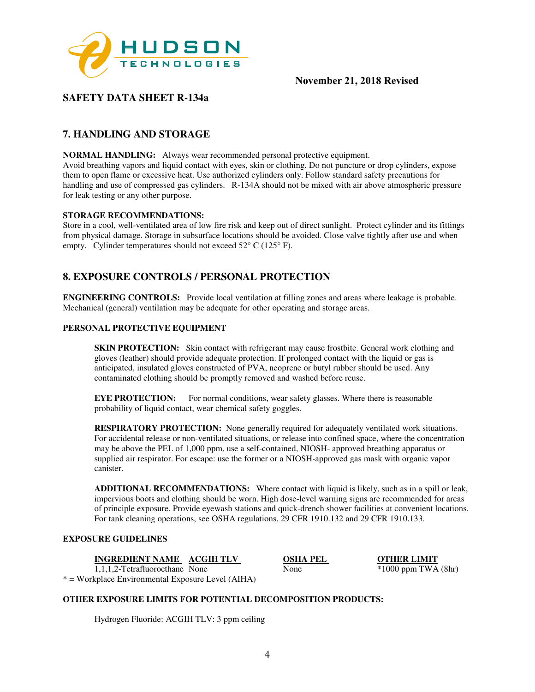

## **SAFETY DATA SHEET R-134a**

## **7. HANDLING AND STORAGE**

**NORMAL HANDLING:** Always wear recommended personal protective equipment.

Avoid breathing vapors and liquid contact with eyes, skin or clothing. Do not puncture or drop cylinders, expose them to open flame or excessive heat. Use authorized cylinders only. Follow standard safety precautions for handling and use of compressed gas cylinders. R-134A should not be mixed with air above atmospheric pressure for leak testing or any other purpose.

#### **STORAGE RECOMMENDATIONS:**

Store in a cool, well-ventilated area of low fire risk and keep out of direct sunlight. Protect cylinder and its fittings from physical damage. Storage in subsurface locations should be avoided. Close valve tightly after use and when empty. Cylinder temperatures should not exceed 52° C (125° F).

## **8. EXPOSURE CONTROLS / PERSONAL PROTECTION**

**ENGINEERING CONTROLS:** Provide local ventilation at filling zones and areas where leakage is probable. Mechanical (general) ventilation may be adequate for other operating and storage areas.

#### **PERSONAL PROTECTIVE EQUIPMENT**

**SKIN PROTECTION:** Skin contact with refrigerant may cause frostbite. General work clothing and gloves (leather) should provide adequate protection. If prolonged contact with the liquid or gas is anticipated, insulated gloves constructed of PVA, neoprene or butyl rubber should be used. Any contaminated clothing should be promptly removed and washed before reuse.

**EYE PROTECTION:** For normal conditions, wear safety glasses. Where there is reasonable probability of liquid contact, wear chemical safety goggles.

**RESPIRATORY PROTECTION:** None generally required for adequately ventilated work situations. For accidental release or non-ventilated situations, or release into confined space, where the concentration may be above the PEL of 1,000 ppm, use a self-contained, NIOSH- approved breathing apparatus or supplied air respirator. For escape: use the former or a NIOSH-approved gas mask with organic vapor canister.

**ADDITIONAL RECOMMENDATIONS:** Where contact with liquid is likely, such as in a spill or leak, impervious boots and clothing should be worn. High dose-level warning signs are recommended for areas of principle exposure. Provide eyewash stations and quick-drench shower facilities at convenient locations. For tank cleaning operations, see OSHA regulations, 29 CFR 1910.132 and 29 CFR 1910.133.

#### **EXPOSURE GUIDELINES**

**INGREDIENT NAME ACGIH TLV OSHA PEL OTHER LIMIT** 

1,1,1,2-Tetrafluoroethane None None \*1000 ppm TWA (8hr) \* = Workplace Environmental Exposure Level (AIHA)

#### **OTHER EXPOSURE LIMITS FOR POTENTIAL DECOMPOSITION PRODUCTS:**

Hydrogen Fluoride: ACGIH TLV: 3 ppm ceiling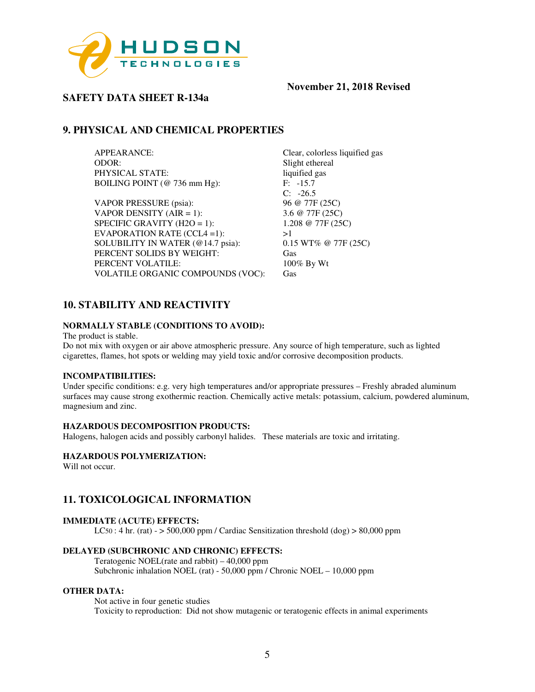

## **SAFETY DATA SHEET R-134a**

## **9. PHYSICAL AND CHEMICAL PROPERTIES**

APPEARANCE:<br>
Clear, colorless liquified gas<br>
Slight ethereal<br>
Slight ethereal PHYSICAL STATE: liquified gas<br>BOILING POINT (@ 736 mm Hg): F: -15.7 BOILING POINT (@ 736 mm Hg):

VAPOR PRESSURE (psia): 96 @ 77F (25C) VAPOR DENSITY (AIR = 1):  $3.6 @ 77F (25C)$ SPECIFIC GRAVITY (H2O = 1):  $1.208 \ @ 77F (25C)$ EVAPORATION RATE  $(CCL4 = 1)$ : >1 SOLUBILITY IN WATER (@14.7 psia): 0.15 WT% @ 77F (25C) PERCENT SOLIDS BY WEIGHT: Gas PERCENT VOLATILE: 100% By Wt VOLATILE ORGANIC COMPOUNDS (VOC): Gas

Slight ethereal C: -26.5

## **10. STABILITY AND REACTIVITY**

#### **NORMALLY STABLE (CONDITIONS TO AVOID):**

The product is stable.

Do not mix with oxygen or air above atmospheric pressure. Any source of high temperature, such as lighted cigarettes, flames, hot spots or welding may yield toxic and/or corrosive decomposition products.

#### **INCOMPATIBILITIES:**

Under specific conditions: e.g. very high temperatures and/or appropriate pressures – Freshly abraded aluminum surfaces may cause strong exothermic reaction. Chemically active metals: potassium, calcium, powdered aluminum, magnesium and zinc.

#### **HAZARDOUS DECOMPOSITION PRODUCTS:**

Halogens, halogen acids and possibly carbonyl halides. These materials are toxic and irritating.

#### **HAZARDOUS POLYMERIZATION:**

Will not occur.

## **11. TOXICOLOGICAL INFORMATION**

#### **IMMEDIATE (ACUTE) EFFECTS:**

LC50 : 4 hr. (rat) -  $>$  500,000 ppm / Cardiac Sensitization threshold (dog)  $>$  80,000 ppm

#### **DELAYED (SUBCHRONIC AND CHRONIC) EFFECTS:**

Teratogenic NOEL(rate and rabbit) – 40,000 ppm Subchronic inhalation NOEL (rat) - 50,000 ppm / Chronic NOEL – 10,000 ppm

#### **OTHER DATA:**

Not active in four genetic studies Toxicity to reproduction: Did not show mutagenic or teratogenic effects in animal experiments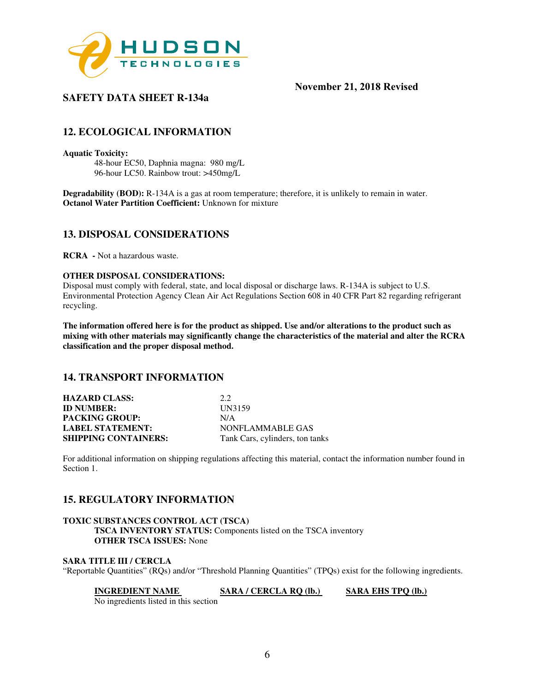

# **SAFETY DATA SHEET R-134a**

## **12. ECOLOGICAL INFORMATION**

**Aquatic Toxicity:** 

48-hour EC50, Daphnia magna: 980 mg/L 96-hour LC50. Rainbow trout: >450mg/L

**Degradability (BOD):** R-134A is a gas at room temperature; therefore, it is unlikely to remain in water. **Octanol Water Partition Coefficient:** Unknown for mixture

## **13. DISPOSAL CONSIDERATIONS**

**RCRA -** Not a hazardous waste.

#### **OTHER DISPOSAL CONSIDERATIONS:**

Disposal must comply with federal, state, and local disposal or discharge laws. R-134A is subject to U.S. Environmental Protection Agency Clean Air Act Regulations Section 608 in 40 CFR Part 82 regarding refrigerant recycling.

**The information offered here is for the product as shipped. Use and/or alterations to the product such as mixing with other materials may significantly change the characteristics of the material and alter the RCRA classification and the proper disposal method.** 

## **14. TRANSPORT INFORMATION**

| <b>HAZARD CLASS:</b>        | 2.2.                            |
|-----------------------------|---------------------------------|
| <b>ID NUMBER:</b>           | <b>UN3159</b>                   |
| <b>PACKING GROUP:</b>       | N/A                             |
| <b>LABEL STATEMENT:</b>     | NONFLAMMABLE GAS                |
| <b>SHIPPING CONTAINERS:</b> | Tank Cars, cylinders, ton tanks |

For additional information on shipping regulations affecting this material, contact the information number found in Section 1.

## **15. REGULATORY INFORMATION**

## **TOXIC SUBSTANCES CONTROL ACT (TSCA)**

**TSCA INVENTORY STATUS:** Components listed on the TSCA inventory **OTHER TSCA ISSUES:** None

#### **SARA TITLE III / CERCLA**

"Reportable Quantities" (RQs) and/or "Threshold Planning Quantities" (TPQs) exist for the following ingredients.

## **INGREDIENT NAME SARA / CERCLA RQ (lb.) SARA EHS TPQ (lb.)**

No ingredients listed in this section